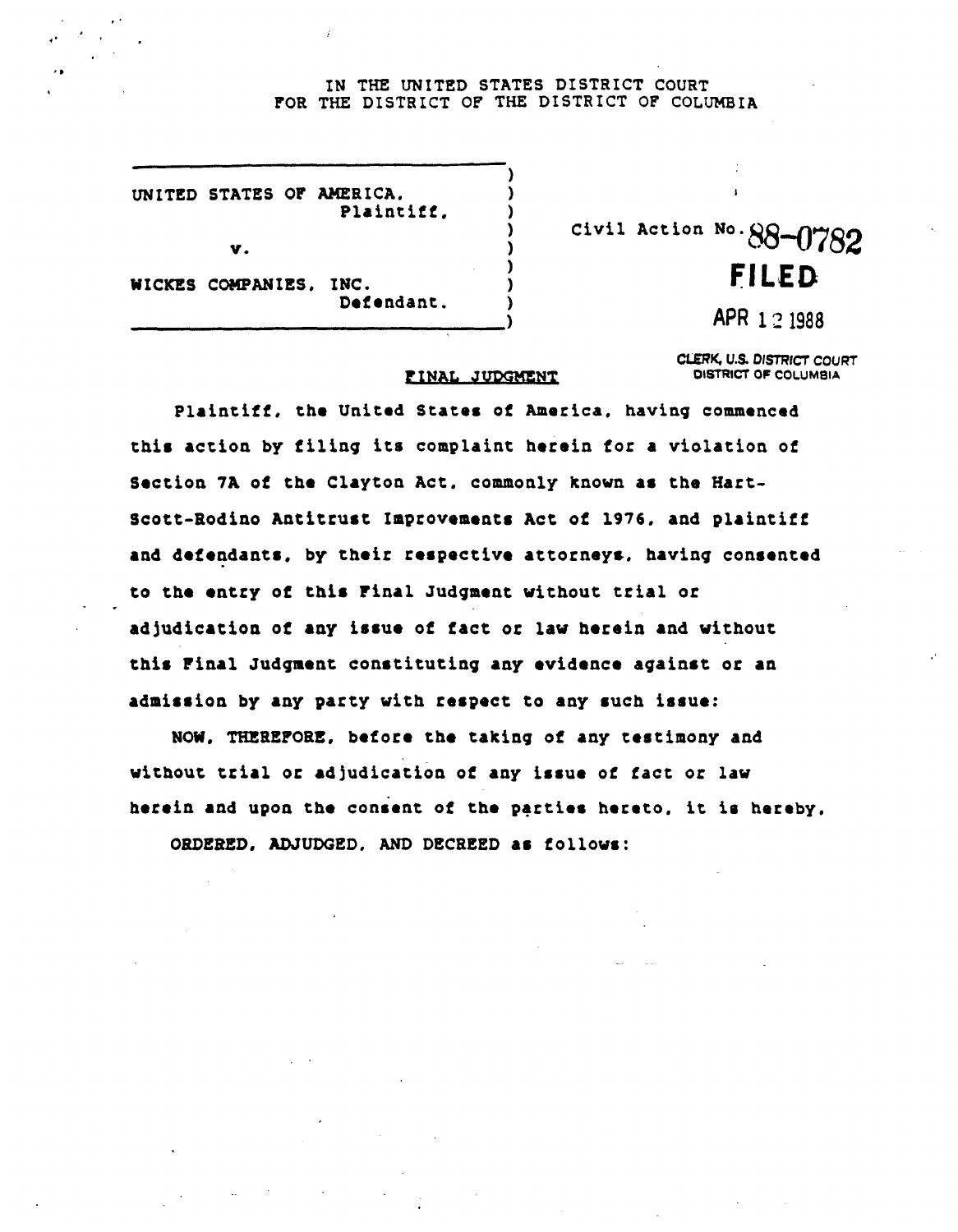## IN THE UNITED STATES DISTRICT COURT FOR THE DISTRICT OF THE DISTRICT OF COLUMBIA

|                        | UNITED STATES OF AMERICA.<br>Plaintiff. |  |
|------------------------|-----------------------------------------|--|
| v.                     |                                         |  |
| WICKES COMPANIES, INC. | Defendant.                              |  |

Civil Action No.  $88-0782$ **FILED** 

APR 1 2 1988

CLERK, U.S. DISTRICT COURT DISTRICT OF COLUMBIA

## FINAL JUDGMENT

Plaintiff, the United States of America, having commenced this action by filing its complaint herein for a violation of Section 7A of the Clayton Act, commonly known as the Hart-Scott-Rodino Antitrust Improvements Act of 1976, and plaintiff and defendants, by their respective attorneys, having consented to the entry of this Final Judgment without trial or adjudication of any issue of fact or law herein and without this Final Judgment constituting any evidence against or an admission by any party with respect to any such issue:

NOW, THEREFORE, before the taking of any testimony and without trial or adjudication of any issue of fact or law herein and upon the consent of the parties hereto, it is hereby,

ORDERED. ADJUDGED. AND DECREED as follows: